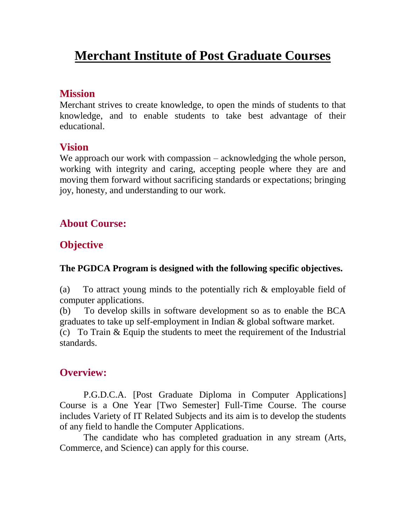# **Merchant Institute of Post Graduate Courses**

#### **Mission**

Merchant strives to create knowledge, to open the minds of students to that knowledge, and to enable students to take best advantage of their educational.

#### **Vision**

We approach our work with compassion – acknowledging the whole person, working with integrity and caring, accepting people where they are and moving them forward without sacrificing standards or expectations; bringing joy, honesty, and understanding to our work.

# **About Course:**

# **Objective**

#### **The PGDCA Program is designed with the following specific objectives.**

(a) To attract young minds to the potentially rich & employable field of computer applications.

(b) To develop skills in software development so as to enable the BCA graduates to take up self-employment in Indian & global software market.

(c) To Train & Equip the students to meet the requirement of the Industrial standards.

### **Overview:**

P.G.D.C.A. [Post Graduate Diploma in Computer Applications] Course is a One Year [Two Semester] Full-Time Course. The course includes Variety of IT Related Subjects and its aim is to develop the students of any field to handle the Computer Applications.

The candidate who has completed graduation in any stream (Arts, Commerce, and Science) can apply for this course.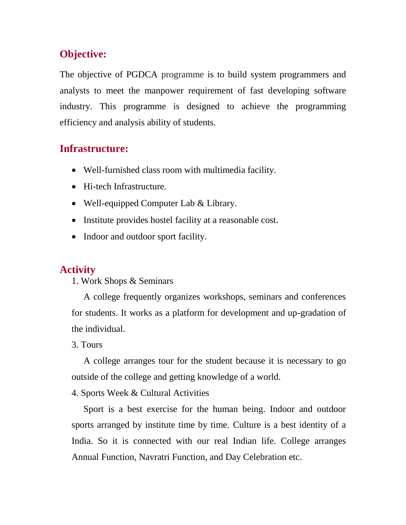# **Objective:**

The objective of PGDCA programme is to build system programmers and analysts to meet the manpower requirement of fast developing software industry. This programme is designed to achieve the programming efficiency and analysis ability of students.

### **Infrastructure:**

- Well-furnished class room with multimedia facility.
- Hi-tech Infrastructure.
- Well-equipped Computer Lab & Library.
- Institute provides hostel facility at a reasonable cost.
- Indoor and outdoor sport facility.

# **Activity**

1. Work Shops & Seminars

A college frequently organizes workshops, seminars and conferences for students. It works as a platform for development and up-gradation of the individual.

#### 3. Tours

A college arranges tour for the student because it is necessary to go outside of the college and getting knowledge of a world.

4. Sports Week & Cultural Activities

Sport is a best exercise for the human being. Indoor and outdoor sports arranged by institute time by time. Culture is a best identity of a India. So it is connected with our real Indian life. College arranges Annual Function, Navratri Function, and Day Celebration etc.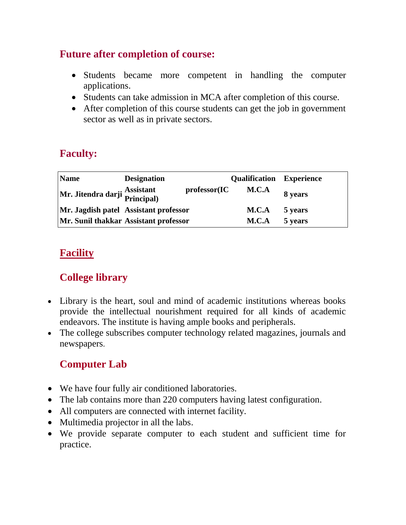# **Future after completion of course:**

- Students became more competent in handling the computer applications.
- Students can take admission in MCA after completion of this course.
- After completion of this course students can get the job in government sector as well as in private sectors.

# **Faculty:**

| <b>Name</b>                                | <b>Designation</b>                    |              | <b>Qualification</b> Experience |         |
|--------------------------------------------|---------------------------------------|--------------|---------------------------------|---------|
| Mr. Jitendra darji Assistant<br>Principal) |                                       | professor(IC | M.C.A                           | 8 years |
|                                            | Mr. Jagdish patel Assistant professor |              | M.C.A                           | 5 years |
| Mr. Sunil thakkar Assistant professor      |                                       |              | M.C.A                           | 5 years |

# **Facility**

# **College library**

- Library is the heart, soul and mind of academic institutions whereas books provide the intellectual nourishment required for all kinds of academic endeavors. The institute is having ample books and peripherals.
- The college subscribes computer technology related magazines, journals and newspapers.

# **Computer Lab**

- We have four fully air conditioned laboratories.
- The lab contains more than 220 computers having latest configuration.
- All computers are connected with internet facility.
- Multimedia projector in all the labs.
- We provide separate computer to each student and sufficient time for practice.